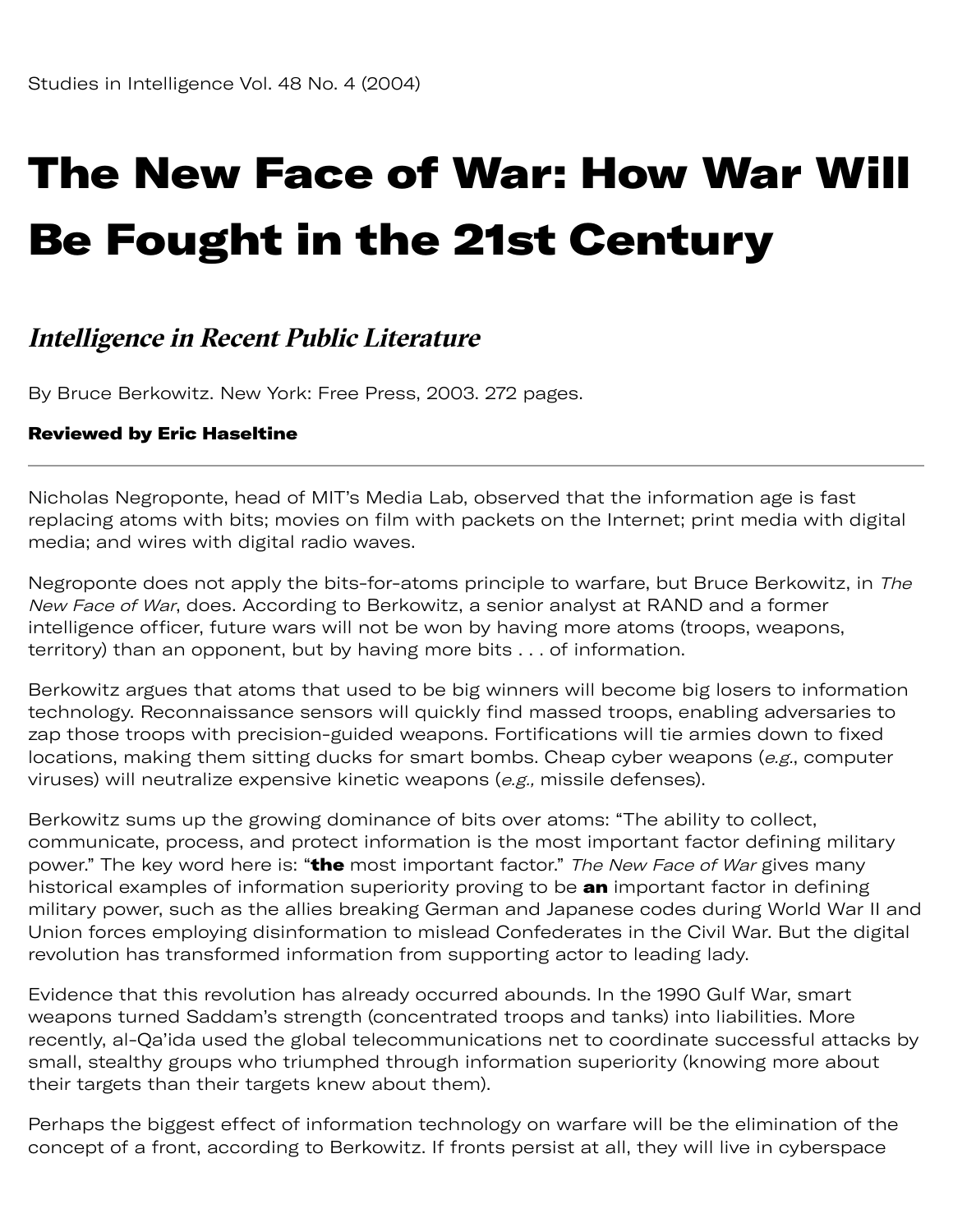## The New Face of War: How War Will Be Fought in the 21st Century

## **Intelligence in Recent Public Literature**

By Bruce Berkowitz. New York: Free Press, 2003. 272 pages.

## Reviewed by [Eric Haseltine](#page-2-0)

Nicholas Negroponte, head of MIT's Media Lab, observed that the information age is fast replacing atoms with bits; movies on film with packets on the Internet; print media with digital media; and wires with digital radio waves.

Negroponte does not apply the bits-for-atoms principle to warfare, but Bruce Berkowitz, in The New Face of War, does. According to Berkowitz, a senior analyst at RAND and a former intelligence officer, future wars will not be won by having more atoms (troops, weapons, territory) than an opponent, but by having more bits . . . of information.

Berkowitz argues that atoms that used to be big winners will become big losers to information technology. Reconnaissance sensors will quickly find massed troops, enabling adversaries to zap those troops with precision-guided weapons. Fortifications will tie armies down to fixed locations, making them sitting ducks for smart bombs. Cheap cyber weapons (e.g., computer viruses) will neutralize expensive kinetic weapons (e.g., missile defenses).

Berkowitz sums up the growing dominance of bits over atoms: "The ability to collect, communicate, process, and protect information is the most important factor defining military power." The key word here is: "the most important factor." The New Face of War gives many historical examples of information superiority proving to be an important factor in defining military power, such as the allies breaking German and Japanese codes during World War II and Union forces employing disinformation to mislead Confederates in the Civil War. But the digital revolution has transformed information from supporting actor to leading lady.

Evidence that this revolution has already occurred abounds. In the 1990 Gulf War, smart weapons turned Saddam's strength (concentrated troops and tanks) into liabilities. More recently, al-Qa'ida used the global telecommunications net to coordinate successful attacks by small, stealthy groups who triumphed through information superiority (knowing more about their targets than their targets knew about them).

Perhaps the biggest effect of information technology on warfare will be the elimination of the concept of a front, according to Berkowitz. If fronts persist at all, they will live in cyberspace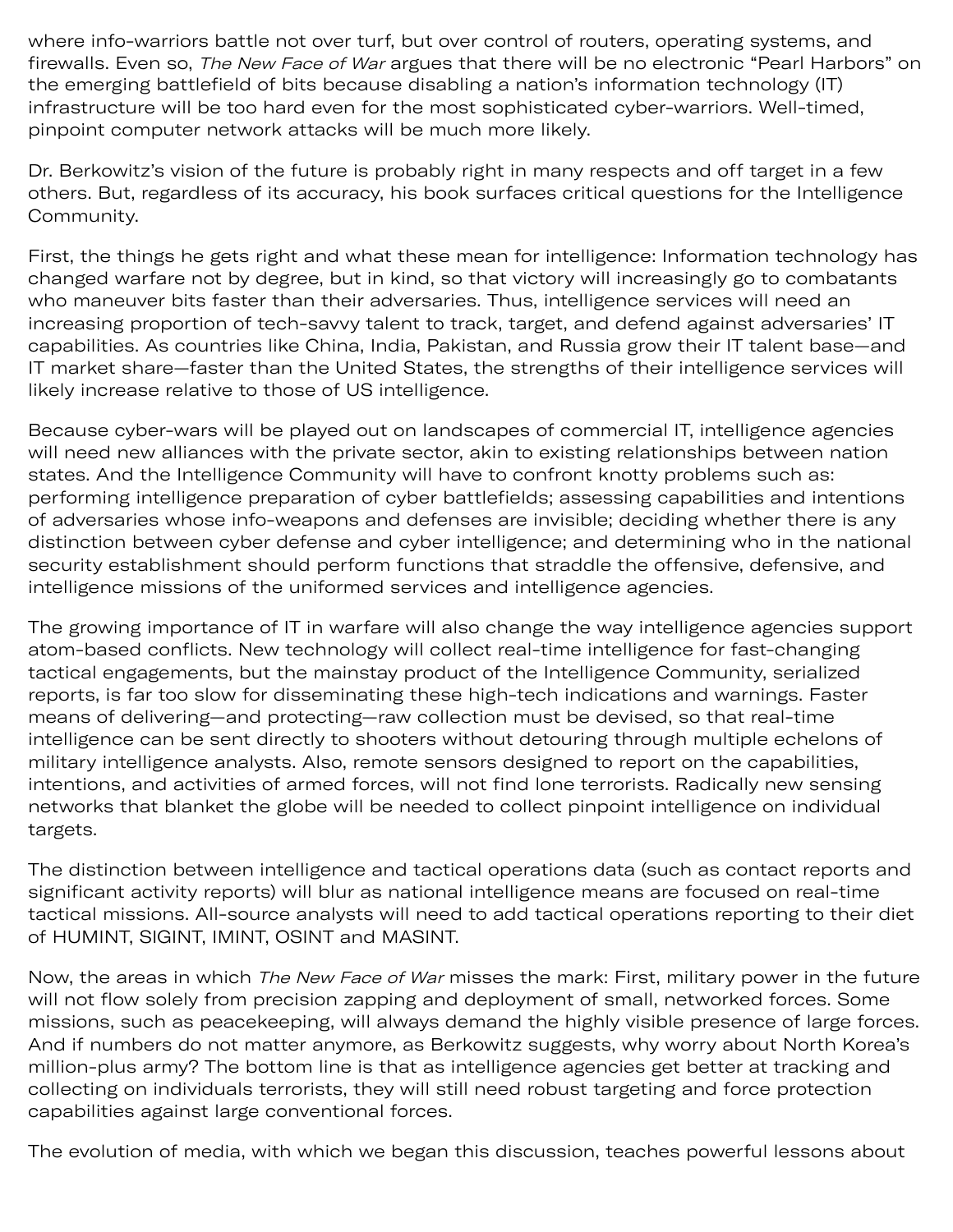where info-warriors battle not over turf, but over control of routers, operating systems, and firewalls. Even so, *The New Face of War* argues that there will be no electronic "Pearl Harbors" on the emerging battlefield of bits because disabling a nation's information technology (IT) infrastructure will be too hard even for the most sophisticated cyber-warriors. Well-timed, pinpoint computer network attacks will be much more likely.

Dr. Berkowitz's vision of the future is probably right in many respects and off target in a few others. But, regardless of its accuracy, his book surfaces critical questions for the Intelligence Community.

First, the things he gets right and what these mean for intelligence: Information technology has changed warfare not by degree, but in kind, so that victory will increasingly go to combatants who maneuver bits faster than their adversaries. Thus, intelligence services will need an increasing proportion of tech-savvy talent to track, target, and defend against adversaries' IT capabilities. As countries like China, India, Pakistan, and Russia grow their IT talent base—and IT market share—faster than the United States, the strengths of their intelligence services will likely increase relative to those of US intelligence.

Because cyber-wars will be played out on landscapes of commercial IT, intelligence agencies will need new alliances with the private sector, akin to existing relationships between nation states. And the Intelligence Community will have to confront knotty problems such as: performing intelligence preparation of cyber battlefields; assessing capabilities and intentions of adversaries whose info-weapons and defenses are invisible; deciding whether there is any distinction between cyber defense and cyber intelligence; and determining who in the national security establishment should perform functions that straddle the offensive, defensive, and intelligence missions of the uniformed services and intelligence agencies.

The growing importance of IT in warfare will also change the way intelligence agencies support atom-based conflicts. New technology will collect real-time intelligence for fast-changing tactical engagements, but the mainstay product of the Intelligence Community, serialized reports, is far too slow for disseminating these high-tech indications and warnings. Faster means of delivering—and protecting—raw collection must be devised, so that real-time intelligence can be sent directly to shooters without detouring through multiple echelons of military intelligence analysts. Also, remote sensors designed to report on the capabilities, intentions, and activities of armed forces, will not find lone terrorists. Radically new sensing networks that blanket the globe will be needed to collect pinpoint intelligence on individual targets.

The distinction between intelligence and tactical operations data (such as contact reports and significant activity reports) will blur as national intelligence means are focused on real-time tactical missions. All-source analysts will need to add tactical operations reporting to their diet of HUMINT, SIGINT, IMINT, OSINT and MASINT.

Now, the areas in which The New Face of War misses the mark: First, military power in the future will not flow solely from precision zapping and deployment of small, networked forces. Some missions, such as peacekeeping, will always demand the highly visible presence of large forces. And if numbers do not matter anymore, as Berkowitz suggests, why worry about North Korea's million-plus army? The bottom line is that as intelligence agencies get better at tracking and collecting on individuals terrorists, they will still need robust targeting and force protection capabilities against large conventional forces.

The evolution of media, with which we began this discussion, teaches powerful lessons about